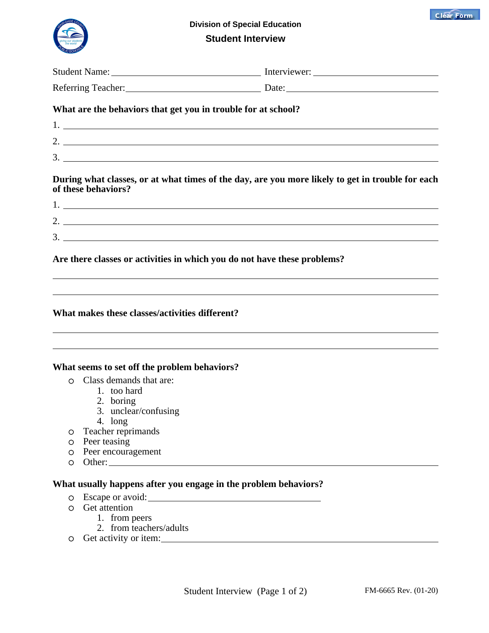



**Division of Special Education Student Interview**

|              |                                                               | Referring Teacher: Date: Date: Date:                                                             |  |
|--------------|---------------------------------------------------------------|--------------------------------------------------------------------------------------------------|--|
|              | What are the behaviors that get you in trouble for at school? |                                                                                                  |  |
|              |                                                               |                                                                                                  |  |
|              |                                                               |                                                                                                  |  |
|              |                                                               |                                                                                                  |  |
|              |                                                               | $3.$ $\overline{\phantom{a}}$                                                                    |  |
|              | of these behaviors?                                           | During what classes, or at what times of the day, are you more likely to get in trouble for each |  |
|              |                                                               |                                                                                                  |  |
|              |                                                               |                                                                                                  |  |
|              |                                                               |                                                                                                  |  |
|              |                                                               | 3.                                                                                               |  |
|              |                                                               | Are there classes or activities in which you do not have these problems?                         |  |
|              |                                                               |                                                                                                  |  |
|              |                                                               |                                                                                                  |  |
|              |                                                               |                                                                                                  |  |
|              |                                                               |                                                                                                  |  |
|              | What makes these classes/activities different?                |                                                                                                  |  |
|              |                                                               |                                                                                                  |  |
|              |                                                               |                                                                                                  |  |
|              |                                                               |                                                                                                  |  |
|              | What seems to set off the problem behaviors?                  |                                                                                                  |  |
| $\bigcirc$   | Class demands that are:                                       |                                                                                                  |  |
|              | 1. too hard                                                   |                                                                                                  |  |
|              | 2. boring                                                     |                                                                                                  |  |
|              | 3. unclear/confusing                                          |                                                                                                  |  |
|              | 4. long                                                       |                                                                                                  |  |
| O            | Teacher reprimands                                            |                                                                                                  |  |
|              | O Peer teasing                                                |                                                                                                  |  |
| $\circ$<br>O | Peer encouragement                                            |                                                                                                  |  |
|              |                                                               |                                                                                                  |  |
|              |                                                               | What usually happens after you engage in the problem behaviors?                                  |  |
| $\circ$      |                                                               |                                                                                                  |  |
| $\circ$      | Get attention                                                 |                                                                                                  |  |
|              | 1. from peers<br>2. from teachers/adults                      |                                                                                                  |  |